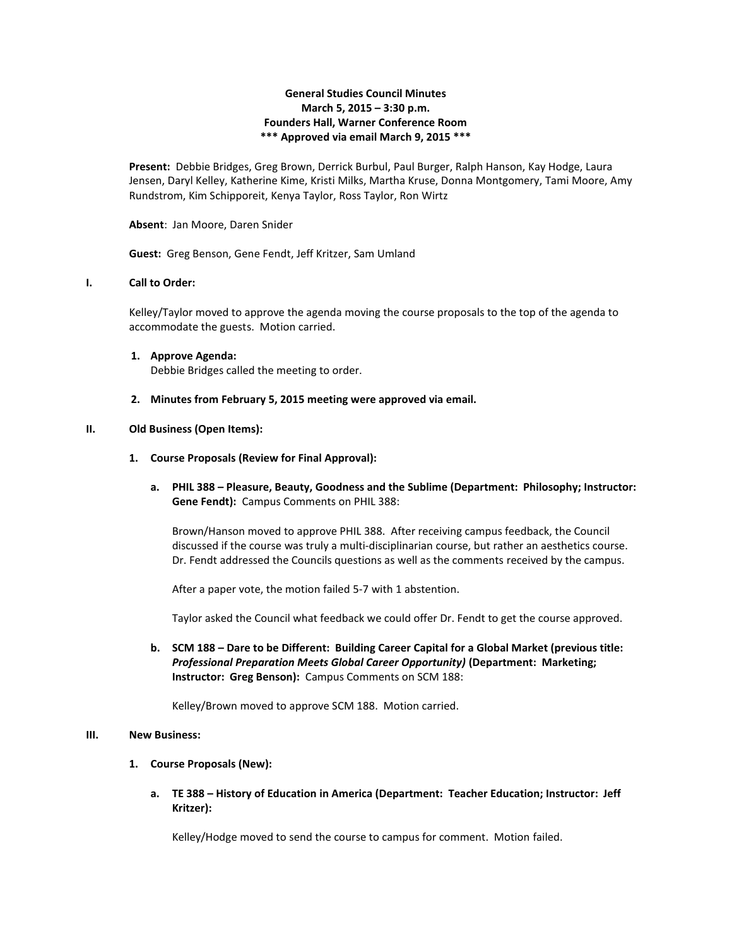# **General Studies Council Minutes March 5, 2015 – 3:30 p.m. Founders Hall, Warner Conference Room \*\*\* Approved via email March 9, 2015 \*\*\***

**Present:** Debbie Bridges, Greg Brown, Derrick Burbul, Paul Burger, Ralph Hanson, Kay Hodge, Laura Jensen, Daryl Kelley, Katherine Kime, Kristi Milks, Martha Kruse, Donna Montgomery, Tami Moore, Amy Rundstrom, Kim Schipporeit, Kenya Taylor, Ross Taylor, Ron Wirtz

**Absent**: Jan Moore, Daren Snider

**Guest:** Greg Benson, Gene Fendt, Jeff Kritzer, Sam Umland

# **I. Call to Order:**

Kelley/Taylor moved to approve the agenda moving the course proposals to the top of the agenda to accommodate the guests. Motion carried.

- **1. Approve Agenda:** Debbie Bridges called the meeting to order.
- **2. Minutes from February 5, 2015 meeting were approved via email.**

#### **II. Old Business (Open Items):**

- **1. Course Proposals (Review for Final Approval):**
	- **a. PHIL 388 – Pleasure, Beauty, Goodness and the Sublime (Department: Philosophy; Instructor: Gene Fendt):** Campus Comments on PHIL 388:

Brown/Hanson moved to approve PHIL 388. After receiving campus feedback, the Council discussed if the course was truly a multi-disciplinarian course, but rather an aesthetics course. Dr. Fendt addressed the Councils questions as well as the comments received by the campus.

After a paper vote, the motion failed 5-7 with 1 abstention.

Taylor asked the Council what feedback we could offer Dr. Fendt to get the course approved.

**b. SCM 188 – Dare to be Different: Building Career Capital for a Global Market (previous title:**  *Professional Preparation Meets Global Career Opportunity)* **(Department: Marketing; Instructor: Greg Benson):** Campus Comments on SCM 188:

Kelley/Brown moved to approve SCM 188. Motion carried.

## **III. New Business:**

- **1. Course Proposals (New):**
	- **a. TE 388 – History of Education in America (Department: Teacher Education; Instructor: Jeff Kritzer):**

Kelley/Hodge moved to send the course to campus for comment. Motion failed.